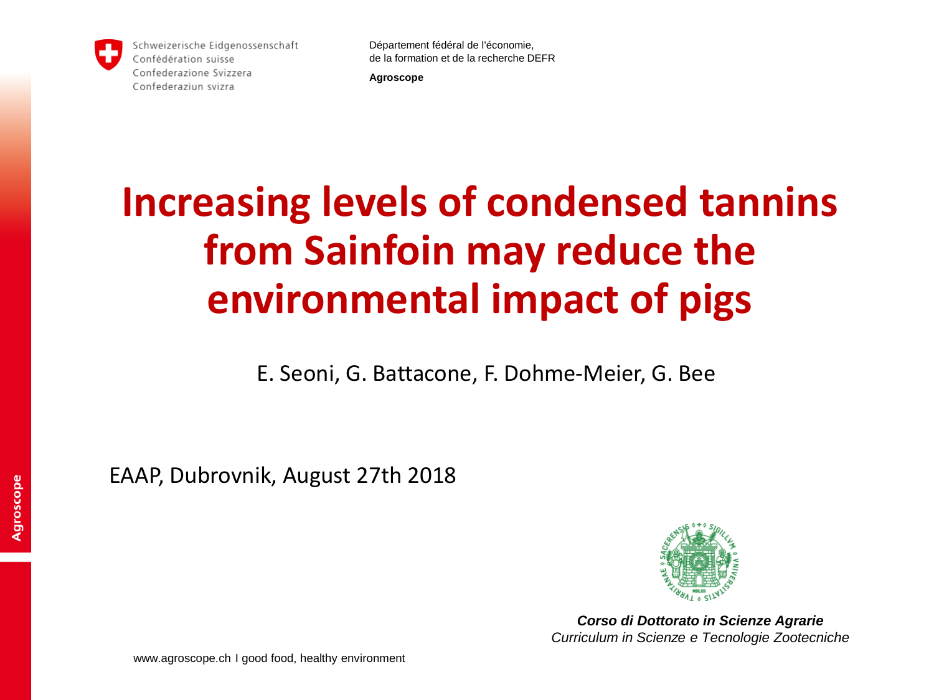

Schweizerische Eidgenossenschaft Confédération suisse Confederazione Svizzera Confederaziun svizra

Département fédéral de l'économie, de la formation et de la recherche DEFR

**Agroscope**

# **Increasing levels of condensed tannins from Sainfoin may reduce the environmental impact of pigs**

E. Seoni, G. Battacone, F. Dohme-Meier, G. Bee

EAAP, Dubrovnik, August 27th 2018



*Corso di Dottorato in Scienze Agrarie Curriculum in Scienze e Tecnologie Zootecniche* 

www.agroscope.ch I good food, healthy environment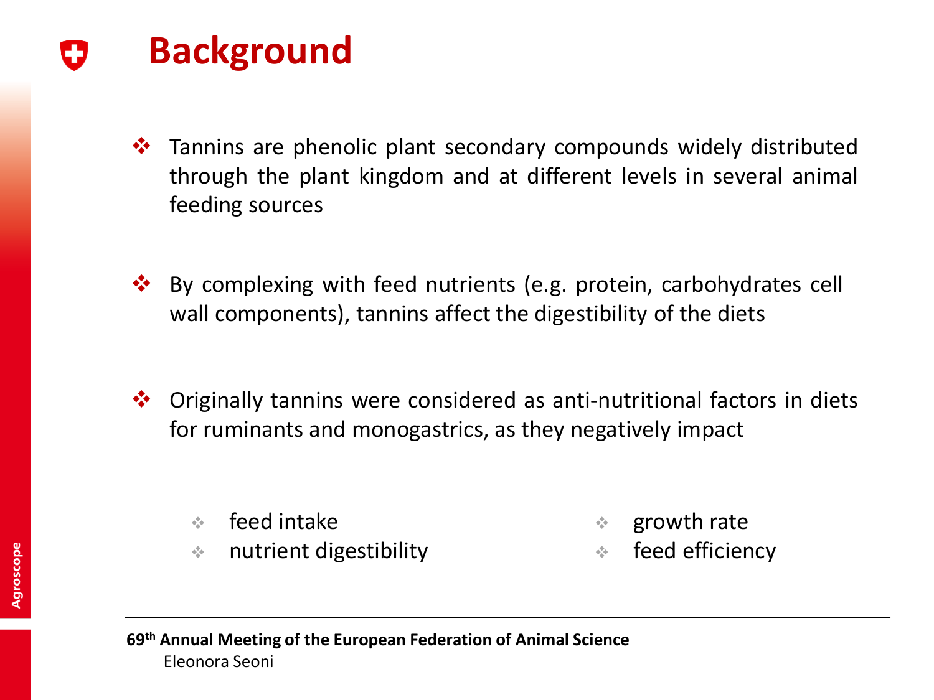- **Background**
	- ❖ Tannins are phenolic plant secondary compounds widely distributed through the plant kingdom and at different levels in several animal feeding sources
	- ❖ By complexing with feed nutrients (e.g. protein, carbohydrates cell wall components), tannins affect the digestibility of the diets
	- ❖ Originally tannins were considered as anti-nutritional factors in diets for ruminants and monogastrics, as they negatively impact
		- ❖ feed intake

 $\div$  growth rate

❖ nutrient digestibility

- ❖ feed efficiency
- **69th Annual Meeting of the European Federation of Animal Science**  Eleonora Seoni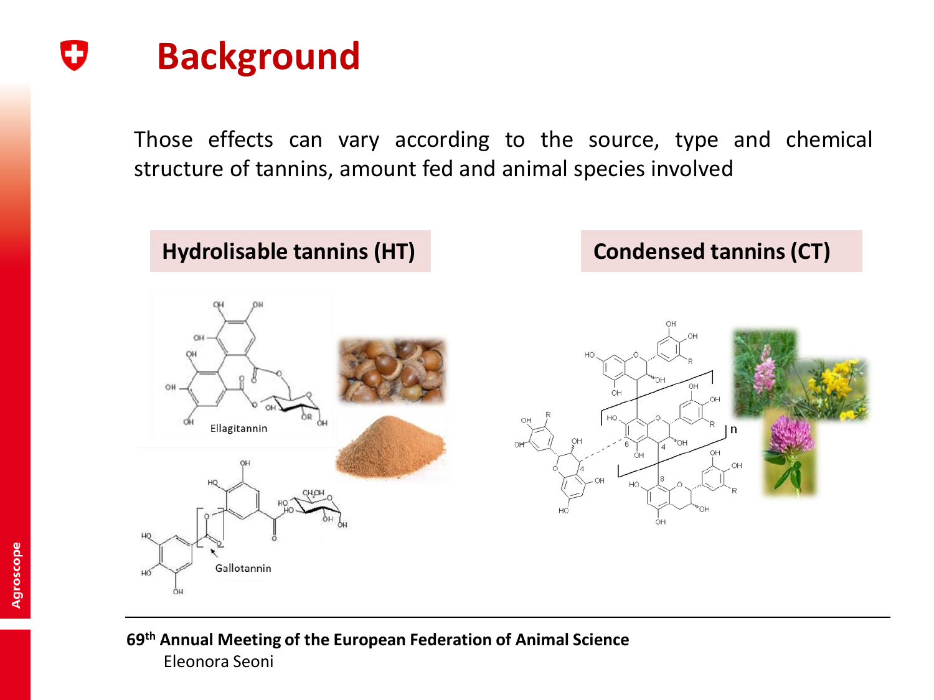

Those effects can vary according to the source, type and chemical structure of tannins, amount fed and animal species involved

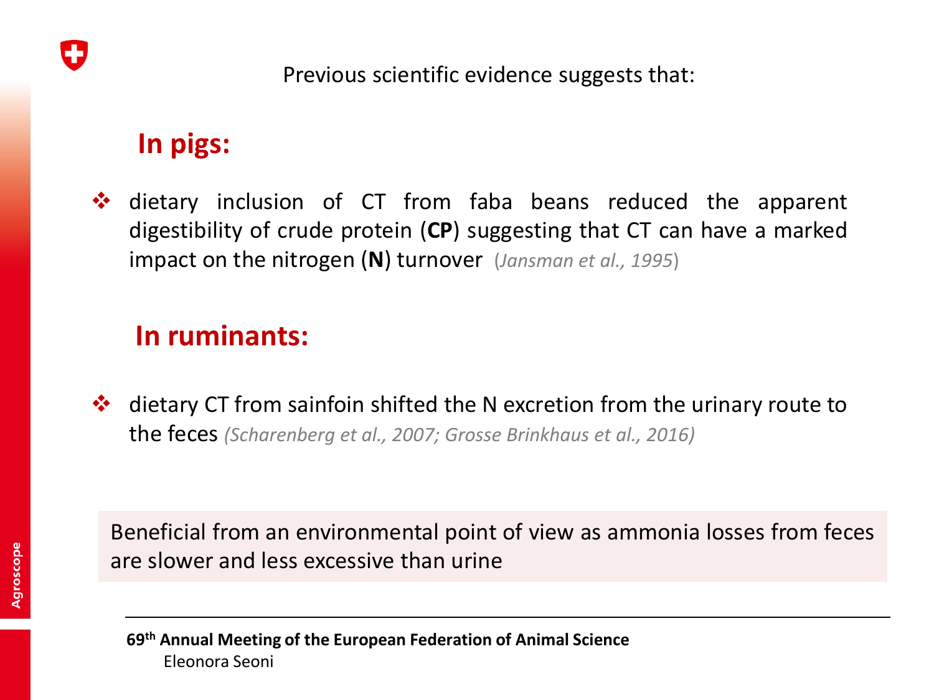

### **In pigs:**

❖ dietary inclusion of CT from faba beans reduced the apparent digestibility of crude protein (**CP**) suggesting that CT can have a marked impact on the nitrogen (**N**) turnover (*Jansman et al., 1995*)

### **In ruminants:**

❖ dietary CT from sainfoin shifted the N excretion from the urinary route to the feces *(Scharenberg et al., 2007; Grosse Brinkhaus et al., 2016)*

Beneficial from an environmental point of view as ammonia losses from feces are slower and less excessive than urine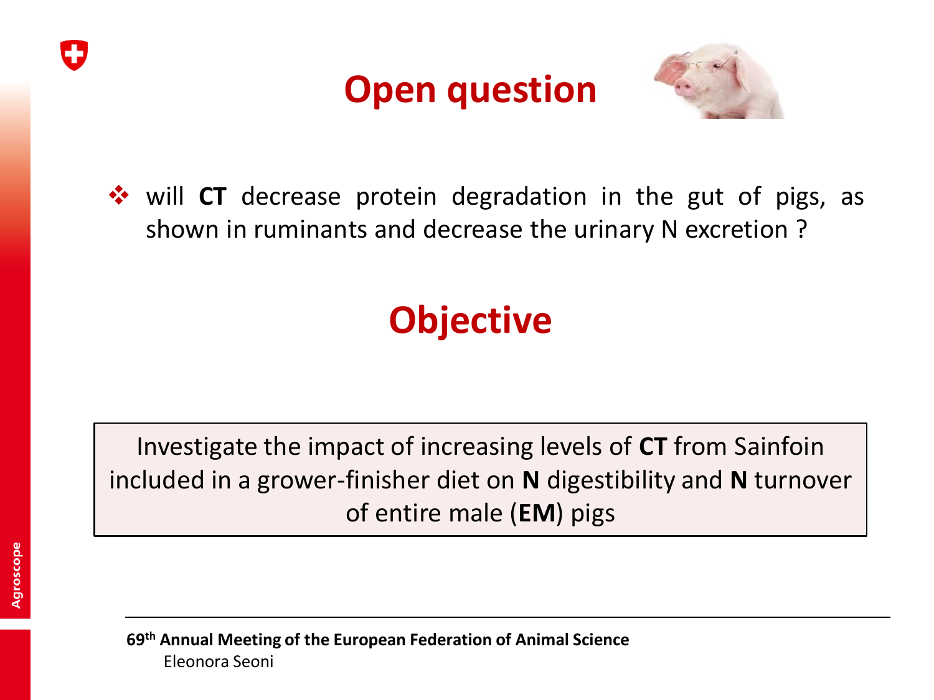





❖ will **CT** decrease protein degradation in the gut of pigs, as shown in ruminants and decrease the urinary N excretion ?

# **Objective**

Investigate the impact of increasing levels of **CT** from Sainfoin included in a grower-finisher diet on **N** digestibility and **N** turnover of entire male (**EM**) pigs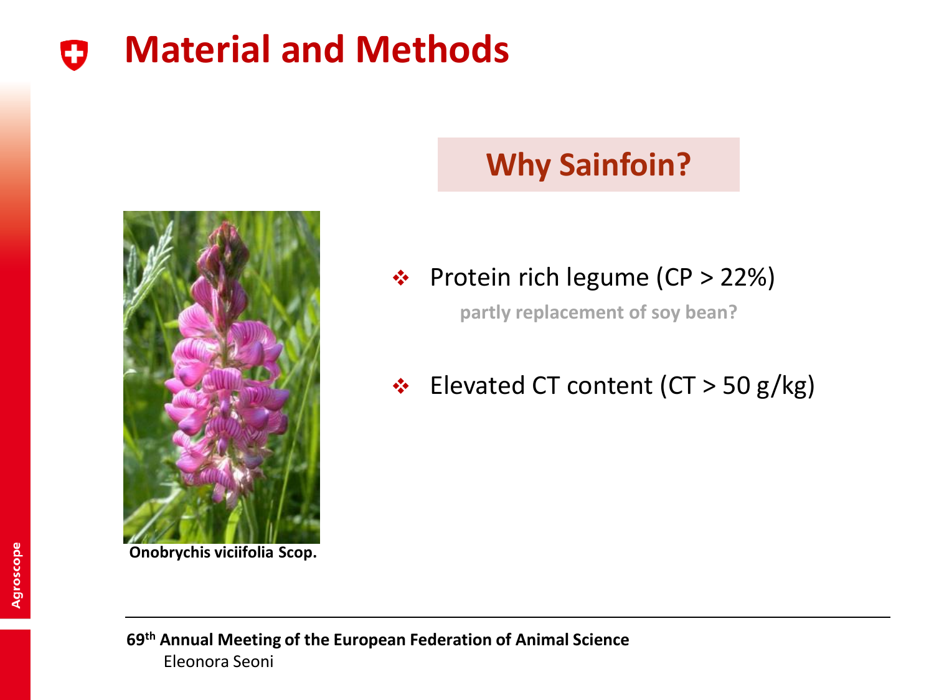## **Material and Methods**



#### **Onobrychis viciifolia Scop.**

### **Why Sainfoin?**

#### ❖ Protein rich legume (CP > 22%)

**partly replacement of soy bean?** 

### ❖ Elevated CT content (CT > 50 g/kg)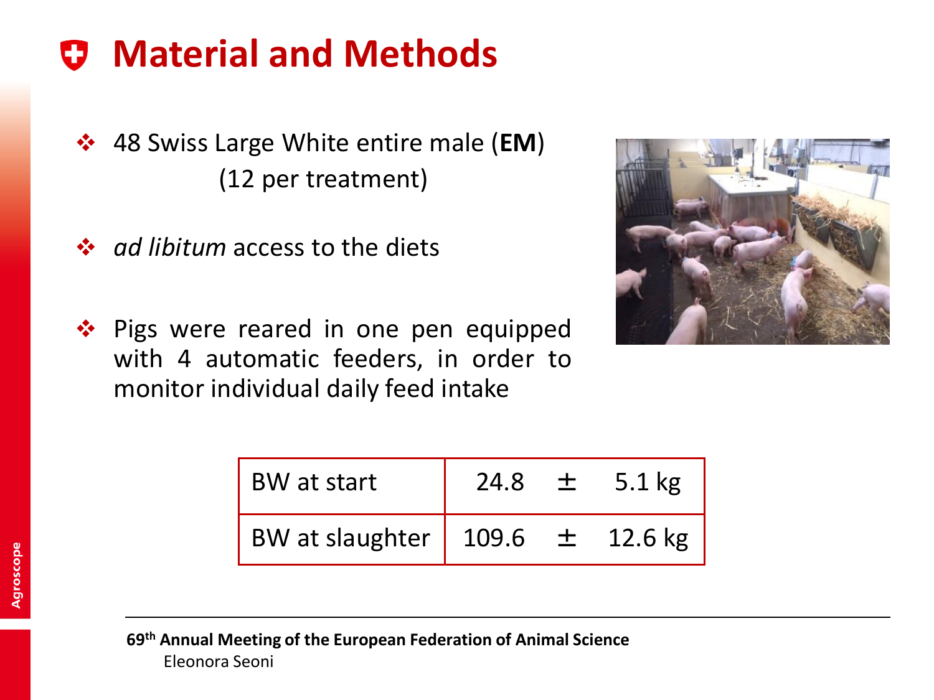## **Material and Methods**

❖ 48 Swiss Large White entire male (**EM**) (12 per treatment)

- ❖ *ad libitum* access to the diets
- ❖ Pigs were reared in one pen equipped with 4 automatic feeders, in order to monitor individual daily feed intake



| BW at start                                                                     | 24.8 | 土 | 5.1 kg |
|---------------------------------------------------------------------------------|------|---|--------|
| BW at slaughter $\begin{array}{cccc} 109.6 & \pm & 12.6 \text{ kg} \end{array}$ |      |   |        |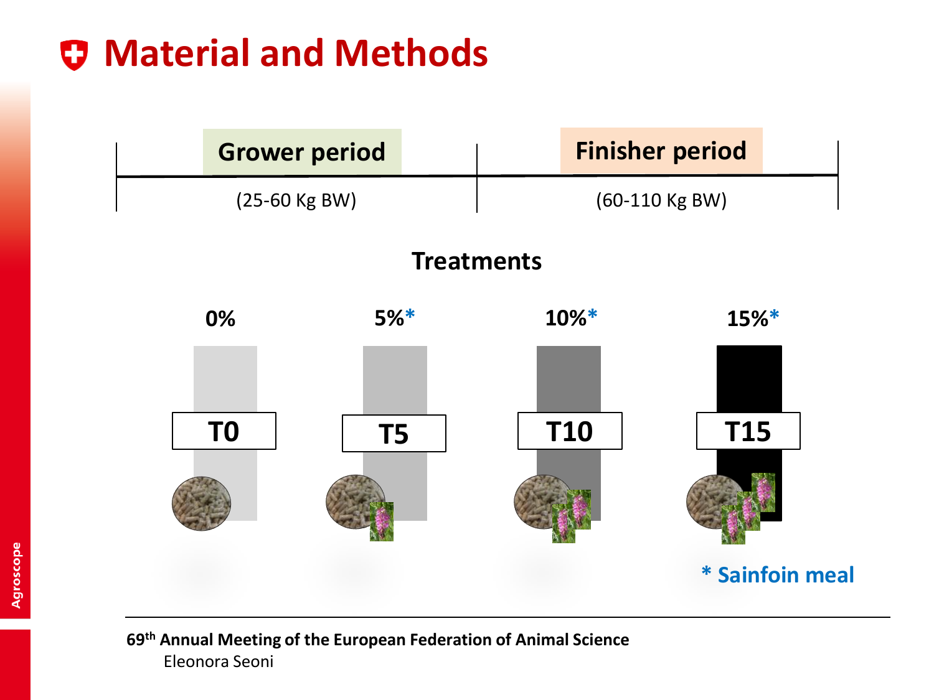## **Material and Methods**

| <b>Grower period</b> |                |                   |            | <b>Finisher period</b> |                 |  |
|----------------------|----------------|-------------------|------------|------------------------|-----------------|--|
| (25-60 Kg BW)        |                | (60-110 Kg BW)    |            |                        |                 |  |
|                      |                | <b>Treatments</b> |            |                        |                 |  |
| 0%                   | $5%$ *         |                   | 10%*       | 15%*                   |                 |  |
|                      |                |                   |            |                        |                 |  |
| T <sub>0</sub>       | T <sub>5</sub> |                   | <b>T10</b> | <b>T15</b>             |                 |  |
|                      |                |                   |            |                        |                 |  |
|                      |                |                   |            |                        | * Sainfoin meal |  |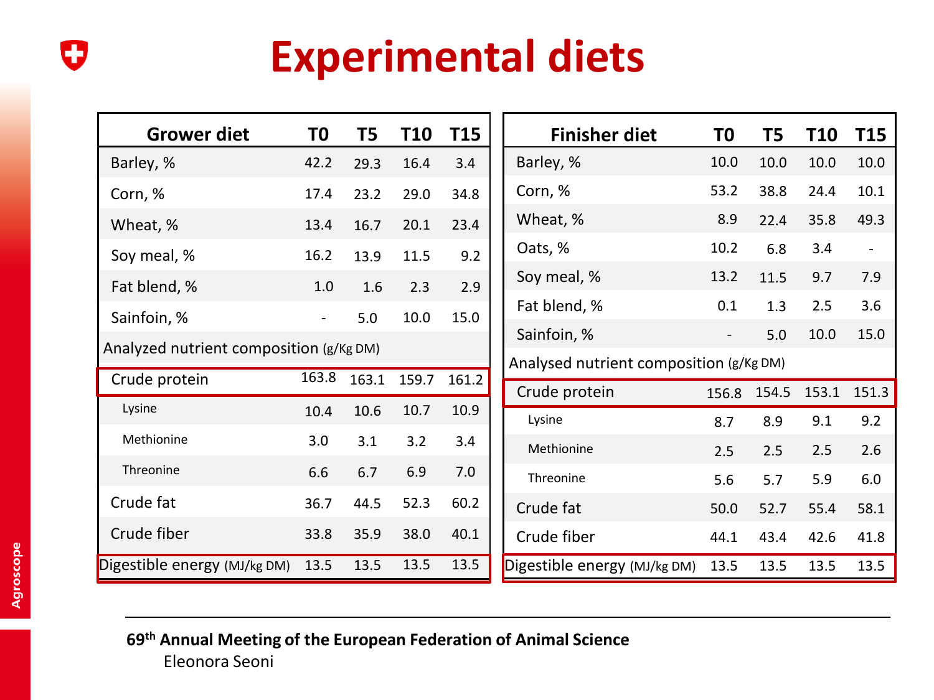### 0

# **Experimental diets**

| <b>Grower diet</b>                      | T0    | Τ5    | <b>T10</b> | <b>T15</b>                              | <b>Finisher diet</b>         | T0    | T5    | T10   | T15                      |
|-----------------------------------------|-------|-------|------------|-----------------------------------------|------------------------------|-------|-------|-------|--------------------------|
| Barley, %                               | 42.2  | 29.3  | 16.4       | 3.4                                     | Barley, %                    | 10.0  | 10.0  | 10.0  | 10.0                     |
| Corn, %                                 | 17.4  | 23.2  | 29.0       | 34.8                                    | Corn, %                      | 53.2  | 38.8  | 24.4  | 10.1                     |
| Wheat, %                                | 13.4  | 16.7  | 20.1       | 23.4                                    | Wheat, %                     | 8.9   | 22.4  | 35.8  | 49.3                     |
| Soy meal, %                             | 16.2  | 13.9  | 11.5       | 9.2                                     | Oats, %                      | 10.2  | 6.8   | 3.4   | $\overline{\phantom{a}}$ |
| Fat blend, %                            | 1.0   | 1.6   | 2.3        | 2.9                                     | Soy meal, %                  | 13.2  | 11.5  | 9.7   | 7.9                      |
| Sainfoin, %                             | ٠     | 5.0   | 10.0       | 15.0                                    | Fat blend, %                 | 0.1   | 1.3   | 2.5   | 3.6                      |
|                                         |       |       |            | Sainfoin, %                             | $\overline{\phantom{a}}$     | 5.0   | 10.0  | 15.0  |                          |
| Analyzed nutrient composition (g/Kg DM) |       |       |            | Analysed nutrient composition (g/Kg DM) |                              |       |       |       |                          |
| Crude protein                           | 163.8 | 163.1 | 159.7      | 161.2                                   | Crude protein                | 156.8 | 154.5 | 153.1 | 151.3                    |
| Lysine                                  | 10.4  | 10.6  | 10.7       | 10.9                                    | Lysine                       | 8.7   | 8.9   | 9.1   | 9.2                      |
| Methionine                              | 3.0   | 3.1   | 3.2        | 3.4                                     | Methionine                   | 2.5   | 2.5   | 2.5   | 2.6                      |
| Threonine                               | 6.6   | 6.7   | 6.9        | 7.0                                     | Threonine                    | 5.6   | 5.7   | 5.9   | 6.0                      |
| Crude fat                               | 36.7  | 44.5  | 52.3       | 60.2                                    | Crude fat                    | 50.0  | 52.7  | 55.4  | 58.1                     |
| Crude fiber                             | 33.8  | 35.9  | 38.0       | 40.1                                    | Crude fiber                  | 44.1  | 43.4  | 42.6  | 41.8                     |
| Digestible energy (MJ/kg DM)            | 13.5  | 13.5  | 13.5       | 13.5                                    | Digestible energy (MJ/kg DM) | 13.5  | 13.5  | 13.5  | 13.5                     |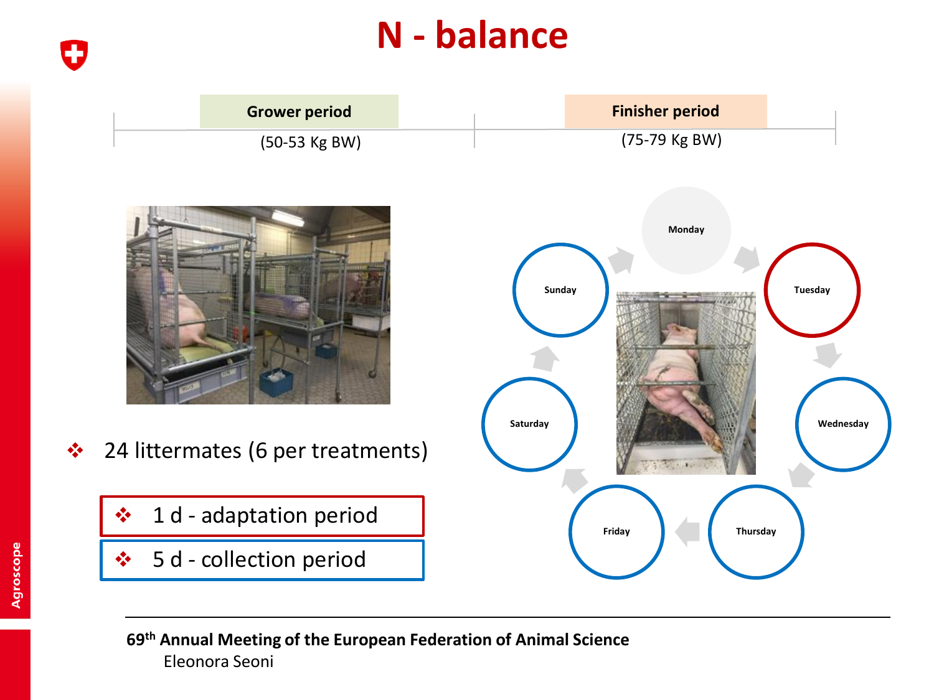## **N - balance**

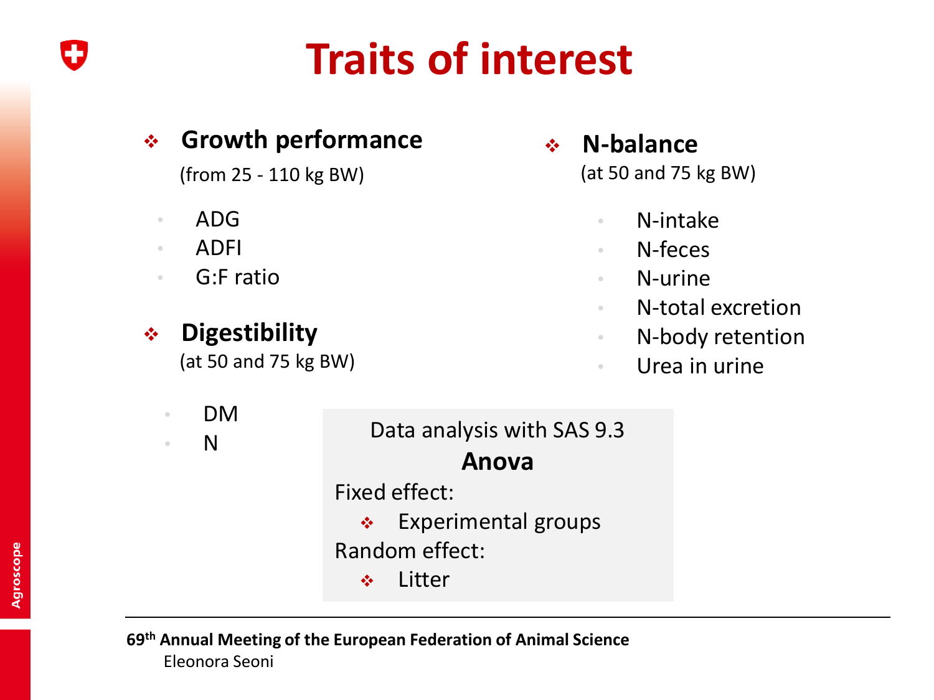# **Traits of interest**

| 樂<br>(from 25 - 110 kg BW)                                                                                                   | <b>Growth performance</b>                                                                                                | $\div$ N-balance<br>(at 50 and 75 kg BW)                                                                                                                                                         |
|------------------------------------------------------------------------------------------------------------------------------|--------------------------------------------------------------------------------------------------------------------------|--------------------------------------------------------------------------------------------------------------------------------------------------------------------------------------------------|
| <b>ADG</b><br>$\odot$<br><b>ADFI</b><br>$\odot$<br>G:F ratio<br>$\odot$<br><b>Digestibility</b><br>❖<br>(at 50 and 75 kg BW) |                                                                                                                          | N-intake<br>$\odot$<br>N-feces<br>$\begin{array}{c} \circ \\ \circ \end{array}$<br>N-urine<br>$\circ$<br>N-total excretion<br>$\circ$<br>N-body retention<br>$\circ$<br>Urea in urine<br>$\circ$ |
| <b>DM</b><br>$\circ$<br>N<br>$\circ$                                                                                         | Data analysis with SAS 9.3<br>Anova<br>Fixed effect:<br>Experimental groups<br><b>经</b><br>Random effect:<br>Litter<br>÷ |                                                                                                                                                                                                  |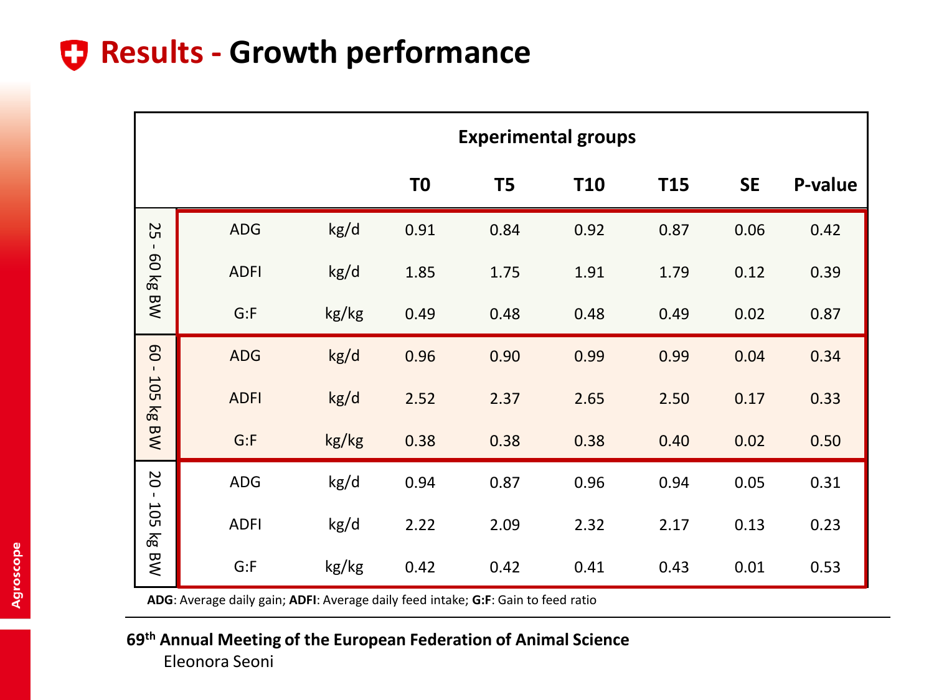### **Results - Growth performance**

|                                           | <b>Experimental groups</b> |       |      |                |                 |                 |           |         |  |
|-------------------------------------------|----------------------------|-------|------|----------------|-----------------|-----------------|-----------|---------|--|
|                                           |                            |       | T0   | T <sub>5</sub> | T <sub>10</sub> | T <sub>15</sub> | <b>SE</b> | P-value |  |
| 25<br>$\mathbf I$                         | ADG                        | kg/d  | 0.91 | 0.84           | 0.92            | 0.87            | 0.06      | 0.42    |  |
| eo kg BW                                  | <b>ADFI</b>                | kg/d  | 1.85 | 1.75           | 1.91            | 1.79            | 0.12      | 0.39    |  |
|                                           | G: F                       | kg/kg | 0.49 | 0.48           | 0.48            | 0.49            | 0.02      | 0.87    |  |
| $\mathbf{g}$<br>$\mathbf{I}$<br>105 kg BW | <b>ADG</b>                 | kg/d  | 0.96 | 0.90           | 0.99            | 0.99            | 0.04      | 0.34    |  |
|                                           | <b>ADFI</b>                | kg/d  | 2.52 | 2.37           | 2.65            | 2.50            | 0.17      | 0.33    |  |
|                                           | G: F                       | kg/kg | 0.38 | 0.38           | 0.38            | 0.40            | 0.02      | 0.50    |  |
| 20                                        | ADG                        | kg/d  | 0.94 | 0.87           | 0.96            | 0.94            | 0.05      | 0.31    |  |
| $-105$<br>kg BW                           | <b>ADFI</b>                | kg/d  | 2.22 | 2.09           | 2.32            | 2.17            | 0.13      | 0.23    |  |
|                                           | G: F                       | kg/kg | 0.42 | 0.42           | 0.41            | 0.43            | 0.01      | 0.53    |  |

**ADG**: Average daily gain; **ADFI**: Average daily feed intake; **G:F**: Gain to feed ratio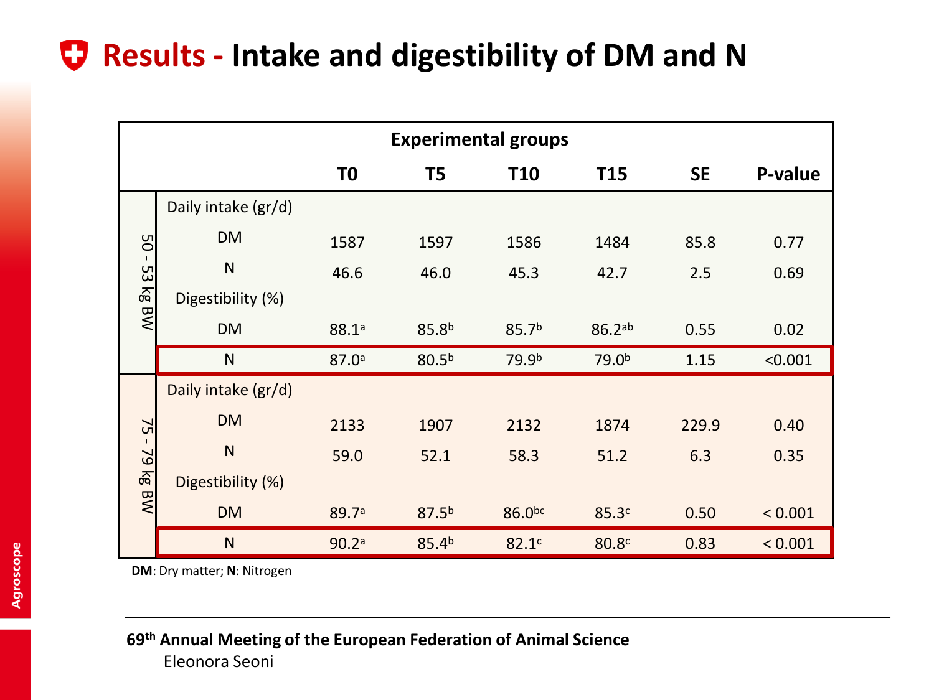### **Results - Intake and digestibility of DM and N**

|               | <b>Experimental groups</b> |                |                   |                    |                   |           |         |  |  |
|---------------|----------------------------|----------------|-------------------|--------------------|-------------------|-----------|---------|--|--|
|               |                            | T <sub>0</sub> | T5                | T <sub>10</sub>    | T15               | <b>SE</b> | P-value |  |  |
|               | Daily intake (gr/d)        |                |                   |                    |                   |           |         |  |  |
|               | <b>DM</b>                  | 1587           | 1597              | 1586               | 1484              | 85.8      | 0.77    |  |  |
|               | N                          | 46.6           | 46.0              | 45.3               | 42.7              | 2.5       | 0.69    |  |  |
| 50 - 53 kg BW | Digestibility (%)          |                |                   |                    |                   |           |         |  |  |
|               | <b>DM</b>                  | 88.1a          | 85.8 <sup>b</sup> | 85.7 <sup>b</sup>  | $86.2^{ab}$       | 0.55      | 0.02    |  |  |
|               | N                          | 87.0a          | 80.5 <sup>b</sup> | 79.9 <sup>b</sup>  | 79.0 <sup>b</sup> | 1.15      | < 0.001 |  |  |
|               | Daily intake (gr/d)        |                |                   |                    |                   |           |         |  |  |
| 75 - 79 kg BW | <b>DM</b>                  | 2133           | 1907              | 2132               | 1874              | 229.9     | 0.40    |  |  |
|               | N                          | 59.0           | 52.1              | 58.3               | 51.2              | 6.3       | 0.35    |  |  |
|               | Digestibility (%)          |                |                   |                    |                   |           |         |  |  |
|               | <b>DM</b>                  | 89.7a          | 87.5 <sup>b</sup> | 86.0 <sub>pc</sub> | 85.3c             | 0.50      | < 0.001 |  |  |
|               | N                          | 90.2a          | 85.4 <sup>b</sup> | 82.1 <sup>c</sup>  | 80.8c             | 0.83      | < 0.001 |  |  |

**DM**: Dry matter; **N**: Nitrogen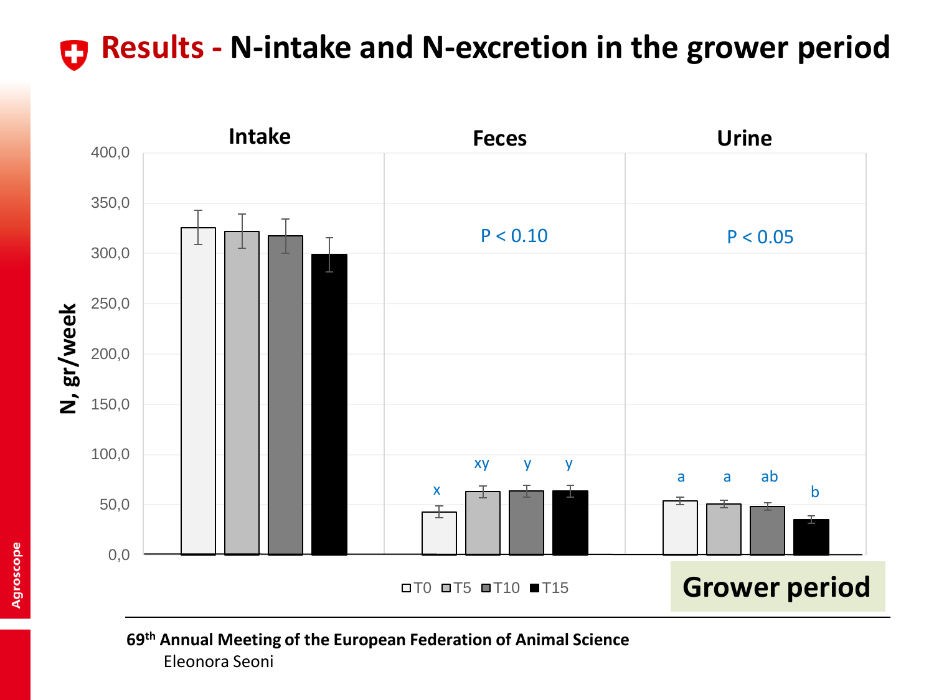### **Results - N-intake and N-excretion in the grower period**

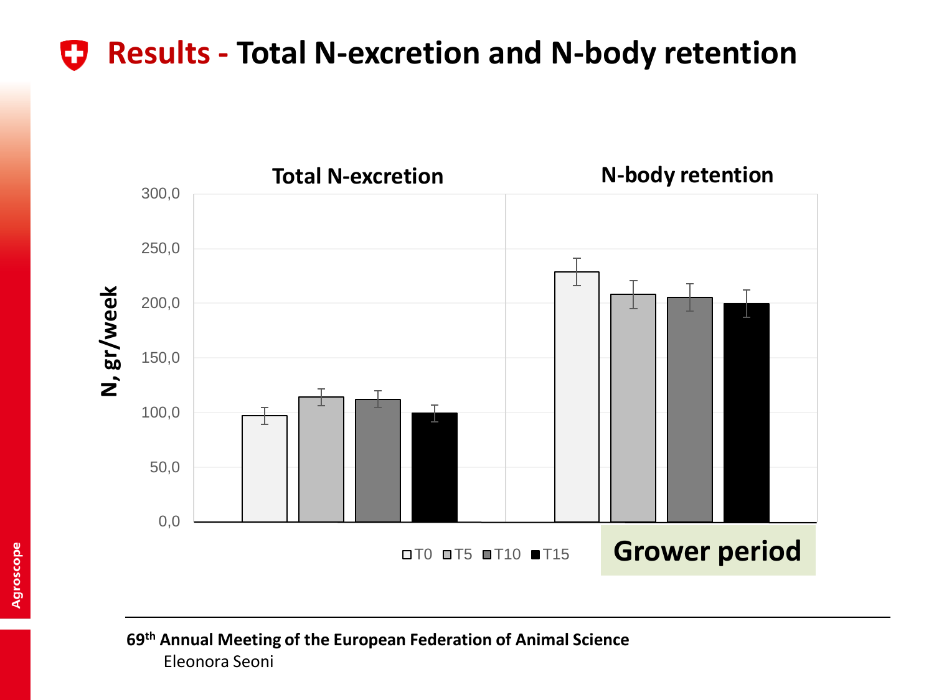### **Results - Total N-excretion and N-body retention**

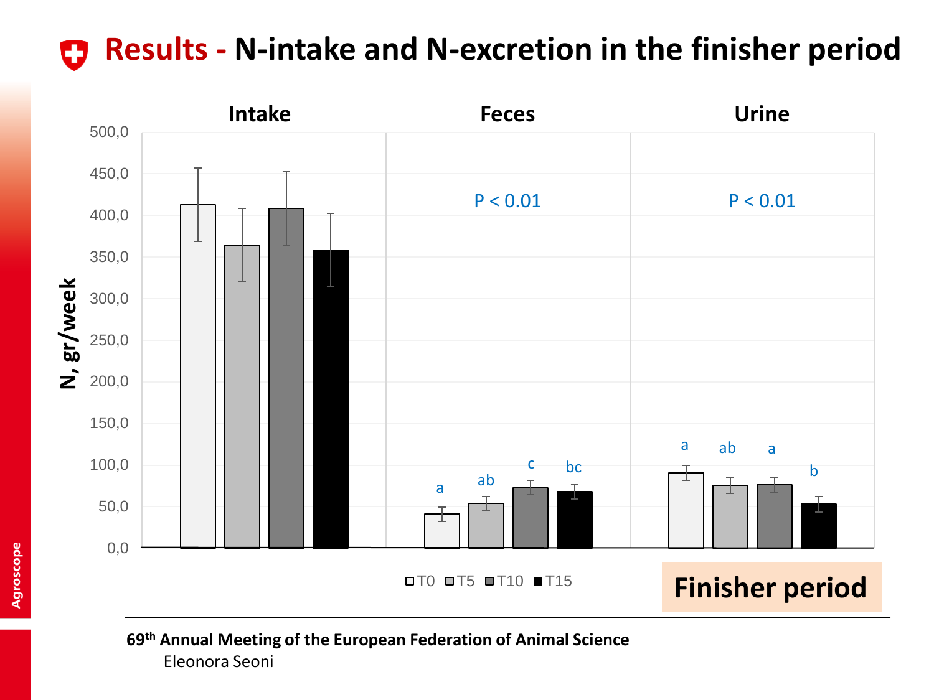### **Results - N-intake and N-excretion in the finisher period**

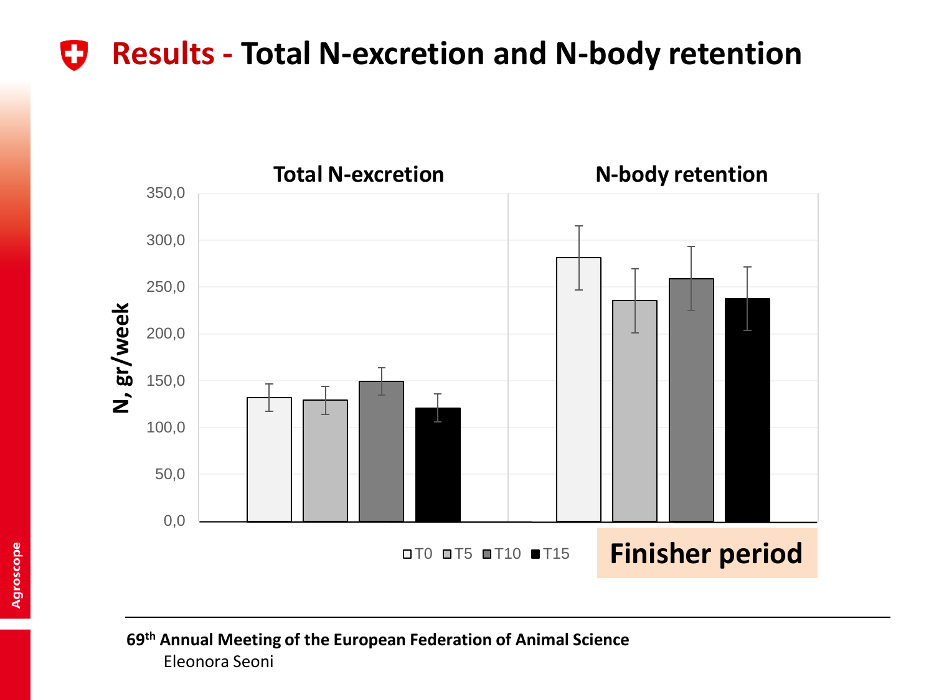#### **Results - Total N-excretion and N-body retention** O

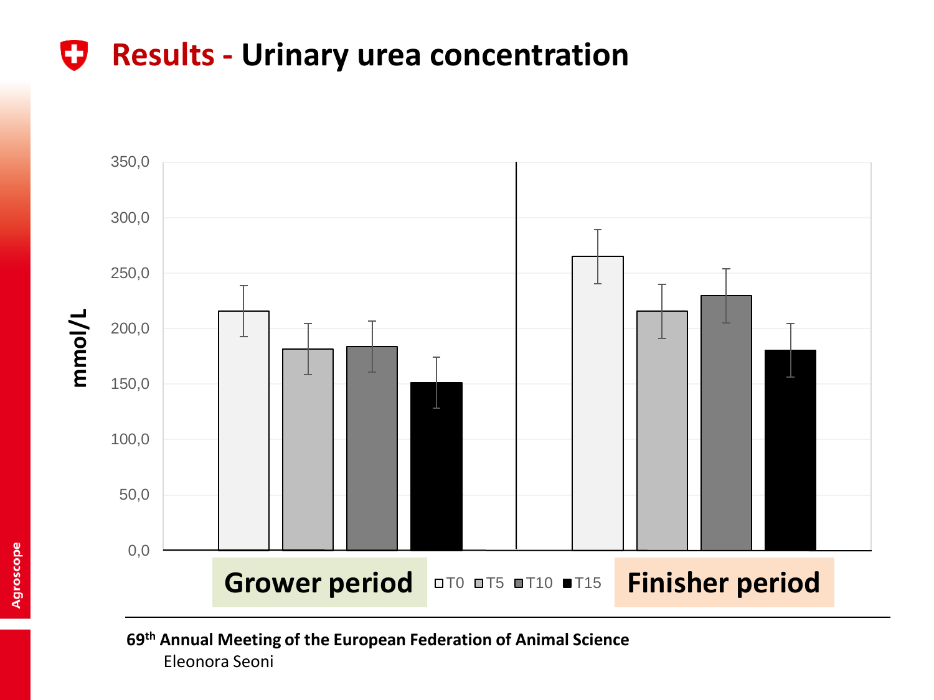#### **Results - Urinary urea concentration** O

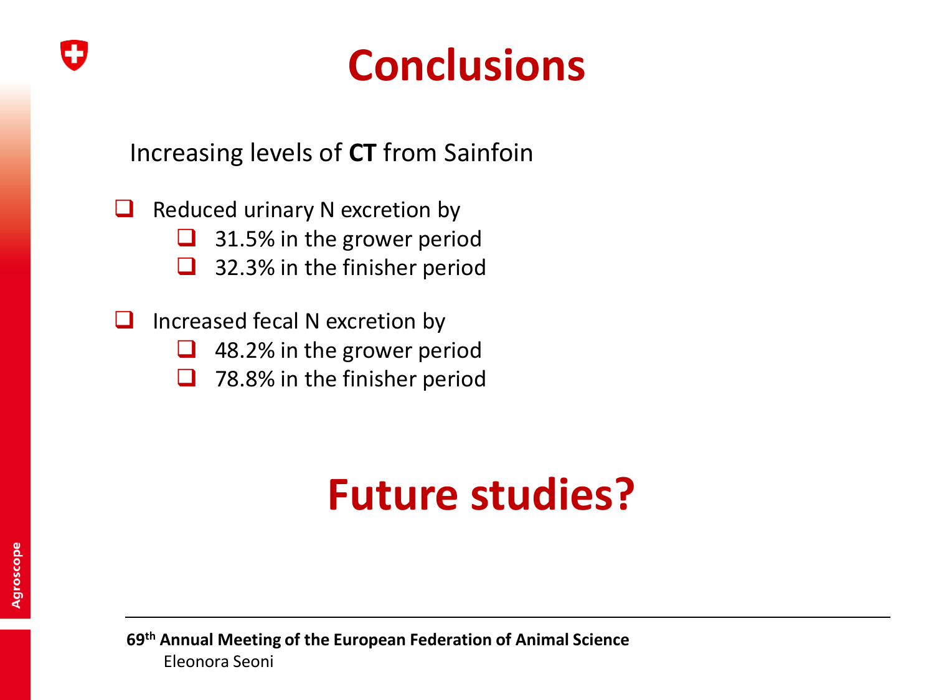

# **Conclusions**

Increasing levels of **CT** from Sainfoin

- $\Box$  Reduced urinary N excretion by
	- ❑ 31.5% in the grower period
	- ❑ 32.3% in the finisher period
- ❑ Increased fecal N excretion by
	- ❑ 48.2% in the grower period
	- ❑ 78.8% in the finisher period

# **Future studies?**